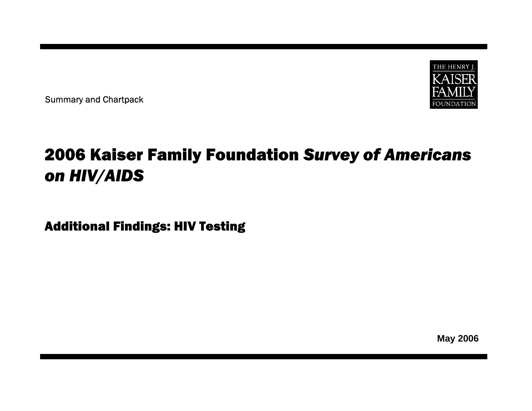

Summary and Chartpack

# 2006 Kaiser Family Foundation *Survey of Americans on HIV/AIDS*

Additional Findings: HIV Testing

**May 2006**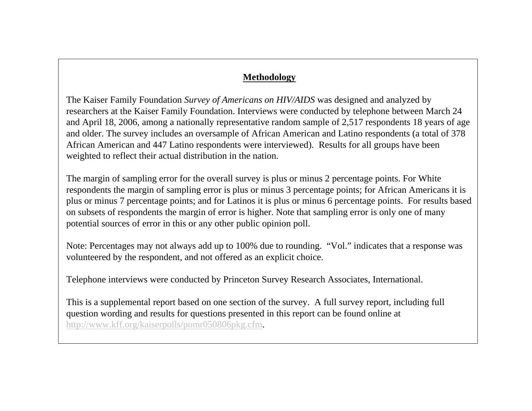#### **Methodology**

The Kaiser Family Foundation *Survey of Americans on HIV/AIDS* was designed and analyzed by researchers at the Kaiser Family Foundation. Interviews were conducted by telephone between March 24 and April 18, 2006, among a nationally representative random sample of 2,517 respondents 18 years of age and older. The survey includes an oversample of African American and Latino respondents (a total of 378 African American and 447 Latino respondents were interviewed). Results for all groups have been weighted to reflect their actual distribution in the nation.

The margin of sampling error for the overall survey is plus or minus 2 percentage points. For White respondents the margin of sampling error is plus or minus 3 percentage points; for African Americans it is plus or minus 7 percentage points; and for Latinos it is plus or minus 6 percentage points. For results based on subsets of respondents the margin of error is higher. Note that sampling error is only one of many potential sources of error in this or any other public opinion poll.

Note: Percentages may not always add up to 100% due to rounding. "Vol." indicates that a response was volunteered by the respondent, and not offered as an explicit choice.

Telephone interviews were conducted by Princeton Survey Research Associates, International.

This is a supplemental report based on one section of the survey. A full survey report, including full question wording and results for questions presented in this report can be found online at <http://www.kff.org/kaiserpolls/pomr050806pkg.cfm>.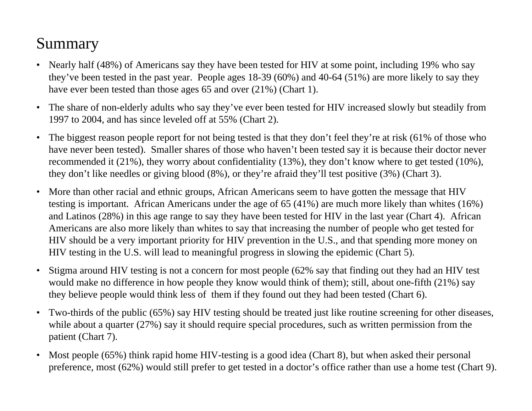### Summary

- • Nearly half (48%) of Americans say they have been tested for HIV at some point, including 19% who say they've been tested in the past year. People ages 18-39 (60%) and 40-64 (51%) are more likely to say they have ever been tested than those ages 65 and over (21%) (Chart 1).
- $\bullet$  The share of non-elderly adults who say they've ever been tested for HIV increased slowly but steadily from 1997 to 2004, and has since leveled off at 55% (Chart 2).
- • The biggest reason people report for not being tested is that they don't feel they're at risk (61% of those who have never been tested). Smaller shares of those who haven't been tested say it is because their doctor never recommended it (21%), they worry about confidentiality (13%), they don't know where to get tested (10%), they don't like needles or giving blood (8%), or they're afraid they'll test positive (3%) (Chart 3).
- $\bullet$  More than other racial and ethnic groups, African Americans seem to have gotten the message that HIV testing is important. African Americans under the age of 65 (41%) are much more likely than whites (16%) and Latinos (28%) in this age range to say they have been tested for HIV in the last year (Chart 4). African Americans are also more likely than whites to say that increasing the number of people who get tested for HIV should be a very important priority for HIV prevention in the U.S., and that spending more money on HIV testing in the U.S. will lead to meaningful progress in slowing the epidemic (Chart 5).
- • Stigma around HIV testing is not a concern for most people (62% say that finding out they had an HIV test would make no difference in how people they know would think of them); still, about one-fifth (21%) say they believe people would think less of them if they found out they had been tested (Chart 6).
- $\bullet$  Two-thirds of the public (65%) say HIV testing should be treated just like routine screening for other diseases, while about a quarter (27%) say it should require special procedures, such as written permission from the patient (Chart 7).
- • Most people (65%) think rapid home HIV-testing is a good idea (Chart 8), but when asked their personal preference, most (62%) would still prefer to get tested in a doctor's office rather than use a home test (Chart 9).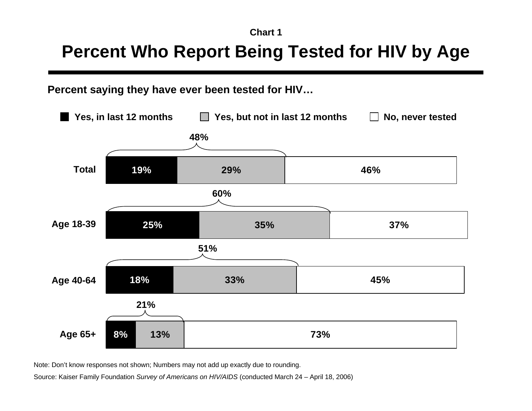# **Percent Who Report Being Tested for HIV by Age**

### **Percent saying they have ever been tested for HIV…**



Note: Don't know responses not shown; Numbers may not add up exactly due to rounding.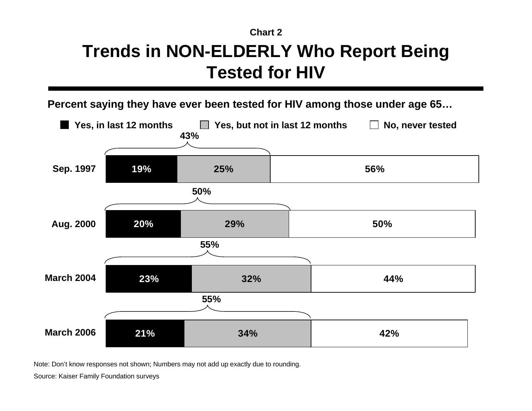# **Trends in NON-ELDERLY Who Report Being Tested for HIV**

**Percent saying they have ever been tested for HIV among those under age 65…**



Note: Don't know responses not shown; Numbers may not add up exactly due to rounding.

Source: Kaiser Family Foundation surveys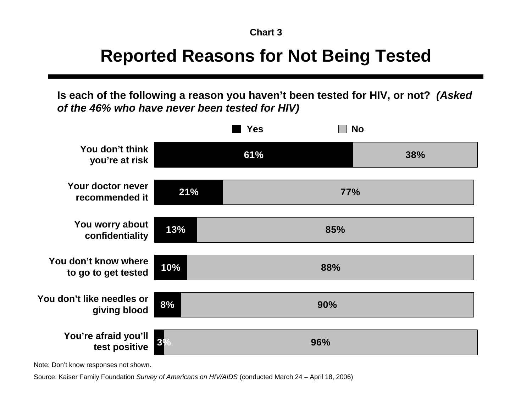# **Reported Reasons for Not Being Tested**

**Is each of the following a reason you haven't been tested for HIV, or not?** *(Asked of the 46% who have never been tested for HIV)*



Note: Don't know responses not shown.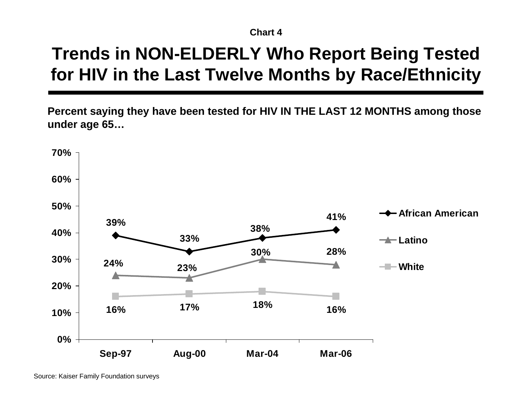# **Trends in NON-ELDERLY Who Report Being Tested for HIV in the Last Twelve Months by Race/Ethnicity**

**Percent saying they have been tested for HIV IN THE LAST 12 MONTHS among those under age 65…**



Source: Kaiser Family Foundation surveys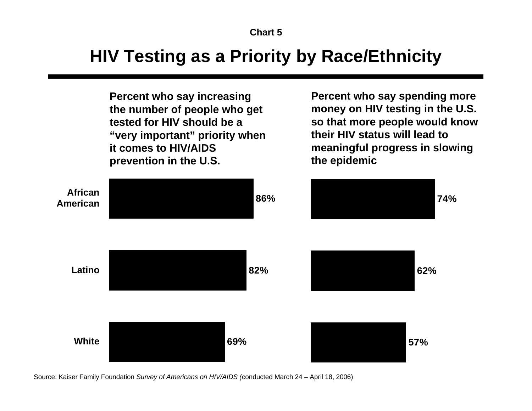## **HIV Testing as a Priority by Race/Ethnicity**

**Percent who say increasing the number of people who get tested for HIV should be a "very important" priority when it comes to HIV/AIDS prevention in the U.S.**

**Percent who say spending more money on HIV testing in the U.S. so that more people would know their HIV status will lead to meaningful progress in slowing the epidemic**

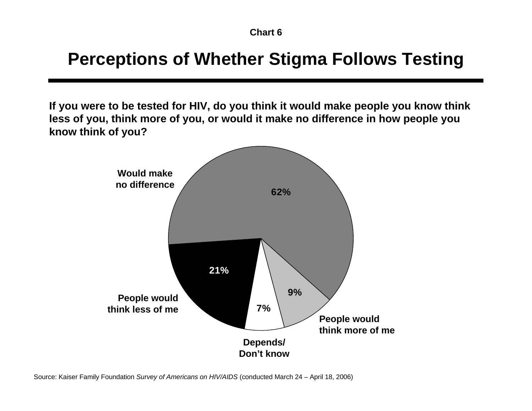# **Perceptions of Whether Stigma Follows Testing**

**If you were to be tested for HIV, do you think it would make people you know think less of you, think more of you, or would it make no difference in how people you know think of you?**

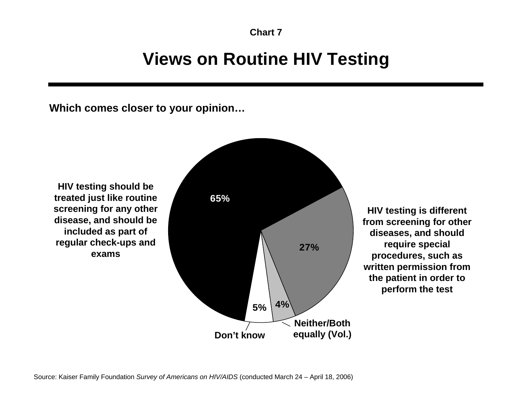## **Views on Routine HIV Testing**

**Which comes closer to your opinion…**

**HIV testing should be treated just like routine screening for any other disease, and should be included as part of regular check-ups and exams**



**HIV testing is different from screening for other diseases, and should require special procedures, such as written permission from the patient in order to perform the test**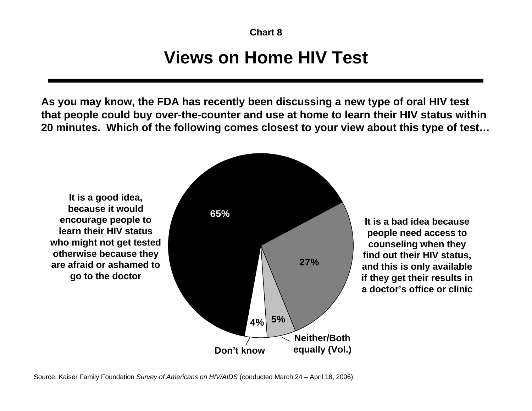# **Views on Home HIV Test**

**As you may know, the FDA has recently been discussing a new type of oral HIV test that people could buy over-the-counter and use at home to learn their HIV status within 20 minutes. Which of the following comes closest to your view about this type of test…**

**It is a good idea, because it would encourage people to learn their HIV statuswho might not get tested otherwise because they are afraid or ashamed togo to the doctor**



**It is a bad idea because people need access to counseling when they find out their HIV status, and this is only available if they get their results in a doctor's office or clinic**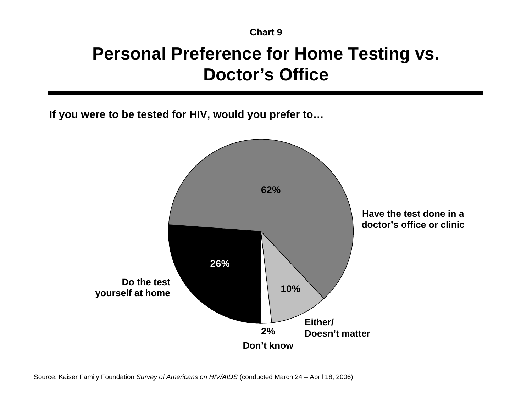# **Personal Preference for Home Testing vs. Doctor's Office**

**If you were to be tested for HIV, would you prefer to…**